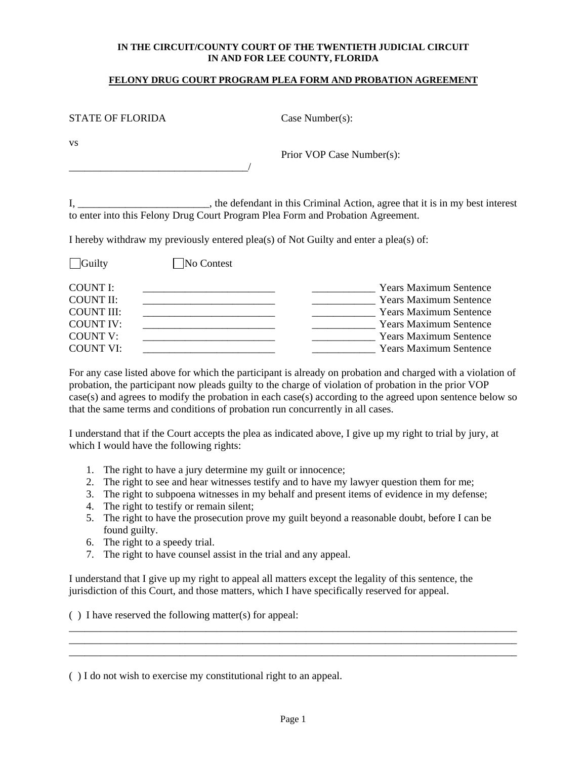#### **IN THE CIRCUIT/COUNTY COURT OF THE TWENTIETH JUDICIAL CIRCUIT IN AND FOR LEE COUNTY, FLORIDA**

#### **FELONY DRUG COURT PROGRAM PLEA FORM AND PROBATION AGREEMENT**

| <b>STATE OF FLORIDA</b>                  |                                                                                                                                               | Case Number $(s)$ :       |                                |
|------------------------------------------|-----------------------------------------------------------------------------------------------------------------------------------------------|---------------------------|--------------------------------|
| <b>VS</b>                                |                                                                                                                                               | Prior VOP Case Number(s): |                                |
|                                          | the defendant in this Criminal Action, agree that it is in<br>to enter into this Felony Drug Court Program Plea Form and Probation Agreement. |                           |                                |
|                                          | I hereby withdraw my previously entered plea(s) of Not Guilty and enter a plea(s) of:                                                         |                           |                                |
| $\Box$ Guilty                            | No Contest                                                                                                                                    |                           |                                |
| <b>COUNT I:</b><br>COUNT II <sup>.</sup> |                                                                                                                                               |                           | Years Maximur<br>Years Maximur |

n my best interest to enter into this Felony Drug Court Program Plea Form and Probation Agreement.

| <b>Guilty</b>     | No Contest |                               |
|-------------------|------------|-------------------------------|
| COUNT I:          |            | <b>Years Maximum Sentence</b> |
| <b>COUNT II:</b>  |            | <b>Years Maximum Sentence</b> |
| <b>COUNT III:</b> |            | <b>Years Maximum Sentence</b> |
| <b>COUNT IV:</b>  |            | <b>Years Maximum Sentence</b> |
| <b>COUNT V:</b>   |            | <b>Years Maximum Sentence</b> |
| <b>COUNT VI:</b>  |            | <b>Years Maximum Sentence</b> |
|                   |            |                               |

For any case listed above for which the participant is already on probation and charged with a violation of probation, the participant now pleads guilty to the charge of violation of probation in the prior VOP case(s) and agrees to modify the probation in each case(s) according to the agreed upon sentence below so that the same terms and conditions of probation run concurrently in all cases.

I understand that if the Court accepts the plea as indicated above, I give up my right to trial by jury, at which I would have the following rights:

- 1. The right to have a jury determine my guilt or innocence;
- 2. The right to see and hear witnesses testify and to have my lawyer question them for me;
- 3. The right to subpoena witnesses in my behalf and present items of evidence in my defense;
- 4. The right to testify or remain silent;
- 5. The right to have the prosecution prove my guilt beyond a reasonable doubt, before I can be found guilty.
- 6. The right to a speedy trial.
- 7. The right to have counsel assist in the trial and any appeal.

I understand that I give up my right to appeal all matters except the legality of this sentence, the jurisdiction of this Court, and those matters, which I have specifically reserved for appeal.

( ) I have reserved the following matter(s) for appeal:

( ) I do not wish to exercise my constitutional right to an appeal.

\_\_\_\_\_\_\_\_\_\_\_\_\_\_\_\_\_\_\_\_\_\_\_\_\_\_\_\_\_\_\_\_\_\_\_\_\_\_\_\_\_\_\_\_\_\_\_\_\_\_\_\_\_\_\_\_\_\_\_\_\_\_\_\_\_\_\_\_\_\_\_\_\_\_\_\_\_\_\_\_\_\_\_\_\_ \_\_\_\_\_\_\_\_\_\_\_\_\_\_\_\_\_\_\_\_\_\_\_\_\_\_\_\_\_\_\_\_\_\_\_\_\_\_\_\_\_\_\_\_\_\_\_\_\_\_\_\_\_\_\_\_\_\_\_\_\_\_\_\_\_\_\_\_\_\_\_\_\_\_\_\_\_\_\_\_\_\_\_\_\_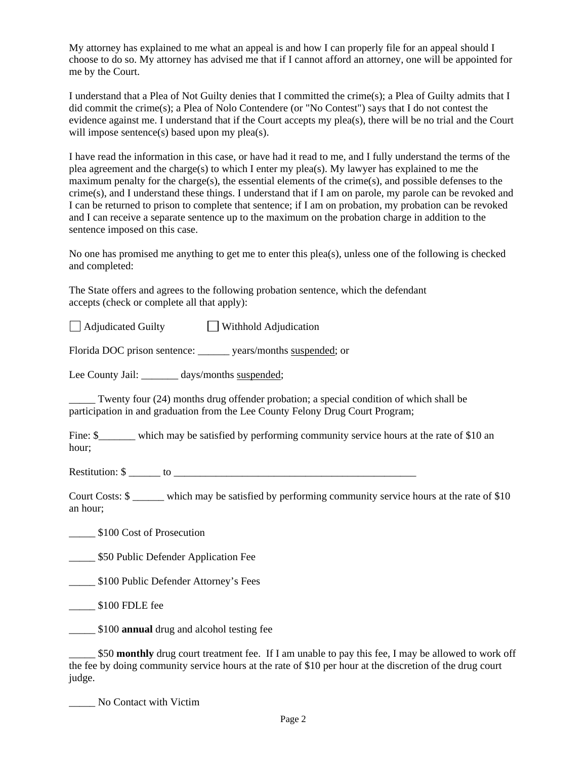My attorney has explained to me what an appeal is and how I can properly file for an appeal should I choose to do so. My attorney has advised me that if I cannot afford an attorney, one will be appointed for me by the Court.

I understand that a Plea of Not Guilty denies that I committed the crime(s); a Plea of Guilty admits that I did commit the crime(s); a Plea of Nolo Contendere (or "No Contest") says that I do not contest the evidence against me. I understand that if the Court accepts my plea(s), there will be no trial and the Court will impose sentence(s) based upon my plea(s).

I have read the information in this case, or have had it read to me, and I fully understand the terms of the plea agreement and the charge(s) to which I enter my plea(s). My lawyer has explained to me the maximum penalty for the charge(s), the essential elements of the crime(s), and possible defenses to the crime(s), and I understand these things. I understand that if I am on parole, my parole can be revoked and I can be returned to prison to complete that sentence; if I am on probation, my probation can be revoked and I can receive a separate sentence up to the maximum on the probation charge in addition to the sentence imposed on this case.

No one has promised me anything to get me to enter this plea(s), unless one of the following is checked and completed:

The State offers and agrees to the following probation sentence, which the defendant accepts (check or complete all that apply):

□ Adjudicated Guilty □ Withhold Adjudication

Florida DOC prison sentence: \_\_\_\_\_\_\_ years/months <u>suspended</u>; or<br>Lee County Jail: \_\_\_\_\_\_\_ days/months <u>suspended</u>;

participation in and graduation from the Lee County Felony Drug Court Program; Twenty four (24) months drug offender probation; a special condition of which shall be

Fine: \$\_\_\_\_\_\_\_\_ which may be satisfied by performing community service hours at the rate of \$10 an hour;

Restitution: \$ \_\_\_\_\_\_ to \_\_\_\_\_\_\_\_\_\_\_\_\_\_\_\_\_\_\_\_\_\_\_\_\_\_\_\_\_\_\_\_\_\_\_\_\_\_\_\_\_\_\_\_\_\_

Court Costs: \$ which may be satisfied by performing community service hours at the rate of \$10 an hour;

\_\_\_\_\_ \$100 Cost of Prosecution

**\_\_\_\_\_\_\_ \$50 Public Defender Application Fee** 

\_\_\_\_\_ \$100 Public Defender Attorney's Fees

\_\_\_\_\_ \$100 FDLE fee

\_\_\_\_\_ \$100 **annual** drug and alcohol testing fee

\_\_\_\_\_ \$50 **monthly** drug court treatment fee. If I am unable to pay this fee, I may be allowed to work off the fee by doing community service hours at the rate of \$10 per hour at the discretion of the drug court judge.

\_\_\_\_\_ No Contact with Victim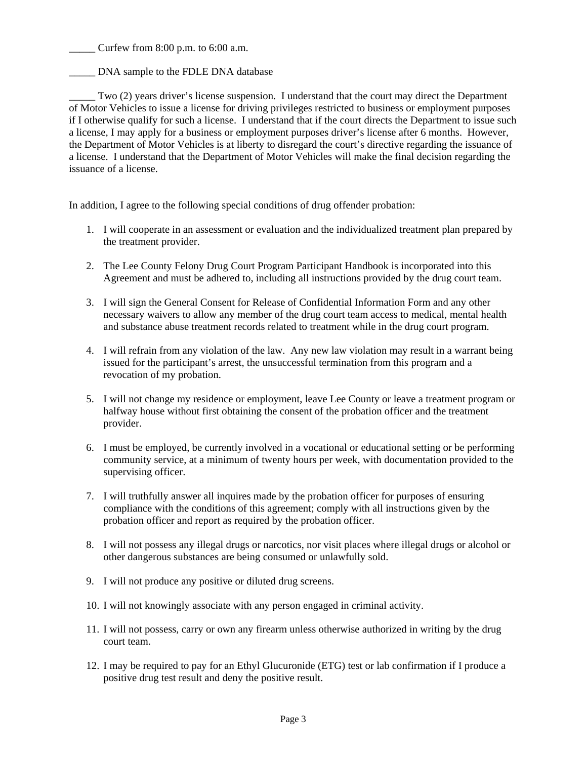Curfew from  $8:00$  p.m. to  $6:00$  a.m.

DNA sample to the FDLE DNA database

*issuance* of a license. Two (2) years driver's license suspension. I understand that the court may direct the Department of Motor Vehicles to issue a license for driving privileges restricted to business or employment purposes if I otherwise qualify for such a license. I understand that if the court directs the Department to issue such a license, I may apply for a business or employment purposes driver's license after 6 months. However, the Department of Motor Vehicles is at liberty to disregard the court's directive regarding the issuance of a license. I understand that the Department of Motor Vehicles will make the final decision regarding the

In addition, I agree to the following special conditions of drug offender probation:

- 1. I will cooperate in an assessment or evaluation and the individualized treatment plan prepared by the treatment provider.
- 2. The Lee County Felony Drug Court Program Participant Handbook is incorporated into this Agreement and must be adhered to, including all instructions provided by the drug court team.
- 3. I will sign the General Consent for Release of Confidential Information Form and any other necessary waivers to allow any member of the drug court team access to medical, mental health and substance abuse treatment records related to treatment while in the drug court program.
- 4. I will refrain from any violation of the law. Any new law violation may result in a warrant being issued for the participant's arrest, the unsuccessful termination from this program and a revocation of my probation.
- 5. I will not change my residence or employment, leave Lee County or leave a treatment program or halfway house without first obtaining the consent of the probation officer and the treatment provider.
- 6. I must be employed, be currently involved in a vocational or educational setting or be performing community service, at a minimum of twenty hours per week, with documentation provided to the supervising officer.
- 7. I will truthfully answer all inquires made by the probation officer for purposes of ensuring compliance with the conditions of this agreement; comply with all instructions given by the probation officer and report as required by the probation officer.
- other dangerous substances are being consumed or unlawfully sold. 9. I will not produce any positive or diluted drug screens. 8. I will not possess any illegal drugs or narcotics, nor visit places where illegal drugs or alcohol or
- 
- 10. I will not knowingly associate with any person engaged in criminal activity.
- 11. I will not possess, carry or own any firearm unless otherwise authorized in writing by the drug court team.
- 12. I may be required to pay for an Ethyl Glucuronide (ETG) test or lab confirmation if I produce a positive drug test result and deny the positive result.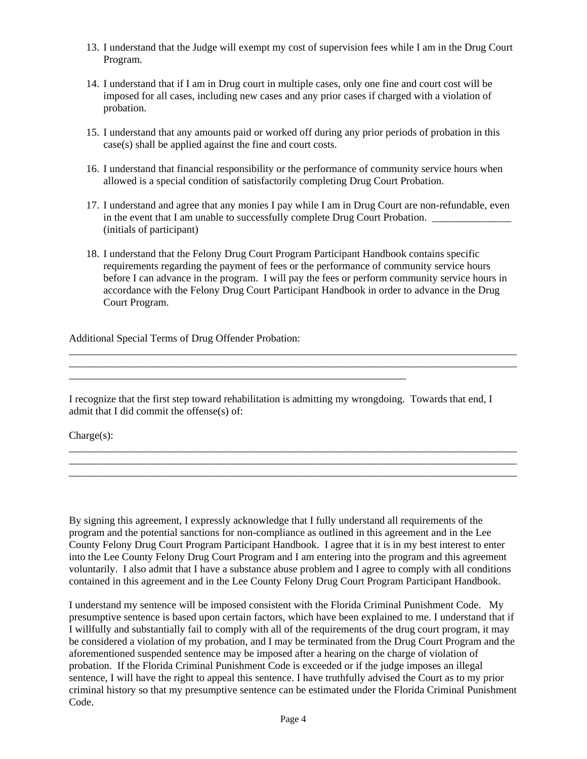- 13. I understand that the Judge will exempt my cost of supervision fees while I am in the Drug Court Program.
- probation. 14. I understand that if I am in Drug court in multiple cases, only one fine and court cost will be imposed for all cases, including new cases and any prior cases if charged with a violation of
- 15. I understand that any amounts paid or worked off during any prior periods of probation in this case(s) shall be applied against the fine and court costs.
- allowed is a special condition of satisfactorily completing Drug Court Probation. 16. I understand that financial responsibility or the performance of community service hours when
- 17. I understand and agree that any monies I pay while I am in Drug Court are non-refundable, even in the event that I am unable to successfully complete Drug Court Probation. (initials of participant)
- Court Program. 18. I understand that the Felony Drug Court Program Participant Handbook contains specific requirements regarding the payment of fees or the performance of community service hours before I can advance in the program. I will pay the fees or perform community service hours in accordance with the Felony Drug Court Participant Handbook in order to advance in the Drug

\_\_\_\_\_\_\_\_\_\_\_\_\_\_\_\_\_\_\_\_\_\_\_\_\_\_\_\_\_\_\_\_\_\_\_\_\_\_\_\_\_\_\_\_\_\_\_\_\_\_\_\_\_\_\_\_\_\_\_\_\_\_\_\_\_\_\_\_\_\_\_\_\_\_\_\_\_\_\_\_\_\_\_\_\_

\_\_\_\_\_\_\_\_\_\_\_\_\_\_\_\_\_\_\_\_\_\_\_\_\_\_\_\_\_\_\_\_\_\_\_\_\_\_\_\_\_\_\_\_\_\_\_\_\_\_\_\_\_\_\_\_\_\_\_\_\_\_\_\_\_\_\_\_\_\_\_\_\_\_\_\_\_\_\_\_\_\_\_\_\_ \_\_\_\_\_\_\_\_\_\_\_\_\_\_\_\_\_\_\_\_\_\_\_\_\_\_\_\_\_\_\_\_\_\_\_\_\_\_\_\_\_\_\_\_\_\_\_\_\_\_\_\_\_\_\_\_\_\_\_\_\_\_\_\_\_\_\_\_\_\_\_\_\_\_\_\_\_\_\_\_\_\_\_\_\_ \_\_\_\_\_\_\_\_\_\_\_\_\_\_\_\_\_\_\_\_\_\_\_\_\_\_\_\_\_\_\_\_\_\_\_\_\_\_\_\_\_\_\_\_\_\_\_\_\_\_\_\_\_\_\_\_\_\_\_\_\_\_\_\_\_\_\_\_\_\_\_\_\_\_\_\_\_\_\_\_\_\_\_\_\_

Additional Special Terms of Drug Offender Probation:

I recognize that the first step toward rehabilitation is admitting my wrongdoing. Towards that end, I admit that I did commit the offense(s) of:

\_\_\_\_\_\_\_\_\_\_\_\_\_\_\_\_\_\_\_\_\_\_\_\_\_\_\_\_\_\_\_\_\_\_\_\_\_\_\_\_\_\_\_\_\_\_\_\_\_\_\_\_\_\_\_\_\_\_\_\_\_\_\_\_

Charge(s):

By signing this agreement, I expressly acknowledge that I fully understand all requirements of the program and the potential sanctions for non-compliance as outlined in this agreement and in the Lee County Felony Drug Court Program Participant Handbook. I agree that it is in my best interest to enter into the Lee County Felony Drug Court Program and I am entering into the program and this agreement voluntarily. I also admit that I have a substance abuse problem and I agree to comply with all conditions contained in this agreement and in the Lee County Felony Drug Court Program Participant Handbook.

I understand my sentence will be imposed consistent with the Florida Criminal Punishment Code. My presumptive sentence is based upon certain factors, which have been explained to me. I understand that if I willfully and substantially fail to comply with all of the requirements of the drug court program, it may be considered a violation of my probation, and I may be terminated from the Drug Court Program and the aforementioned suspended sentence may be imposed after a hearing on the charge of violation of probation. If the Florida Criminal Punishment Code is exceeded or if the judge imposes an illegal sentence, I will have the right to appeal this sentence. I have truthfully advised the Court as to my prior criminal history so that my presumptive sentence can be estimated under the Florida Criminal Punishment Code.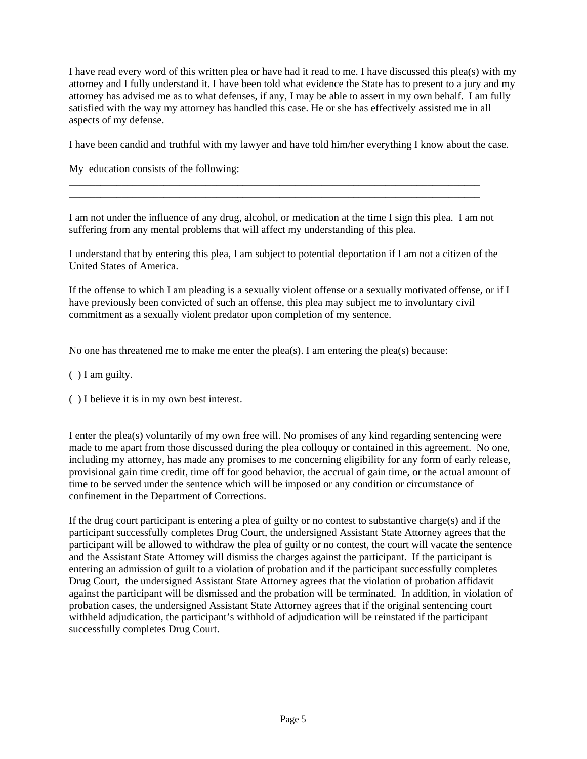I have read every word of this written plea or have had it read to me. I have discussed this plea(s) with my attorney and I fully understand it. I have been told what evidence the State has to present to a jury and my attorney has advised me as to what defenses, if any, I may be able to assert in my own behalf. I am fully satisfied with the way my attorney has handled this case. He or she has effectively assisted me in all aspects of my defense.

I have been candid and truthful with my lawyer and have told him/her everything I know about the case.

My education consists of the following:

I am not under the influence of any drug, alcohol, or medication at the time I sign this plea. I am not suffering from any mental problems that will affect my understanding of this plea.

\_\_\_\_\_\_\_\_\_\_\_\_\_\_\_\_\_\_\_\_\_\_\_\_\_\_\_\_\_\_\_\_\_\_\_\_\_\_\_\_\_\_\_\_\_\_\_\_\_\_\_\_\_\_\_\_\_\_\_\_\_\_\_\_\_\_\_\_\_\_\_\_\_\_\_\_\_\_ \_\_\_\_\_\_\_\_\_\_\_\_\_\_\_\_\_\_\_\_\_\_\_\_\_\_\_\_\_\_\_\_\_\_\_\_\_\_\_\_\_\_\_\_\_\_\_\_\_\_\_\_\_\_\_\_\_\_\_\_\_\_\_\_\_\_\_\_\_\_\_\_\_\_\_\_\_\_

I understand that by entering this plea, I am subject to potential deportation if I am not a citizen of the United States of America.

If the offense to which I am pleading is a sexually violent offense or a sexually motivated offense, or if I have previously been convicted of such an offense, this plea may subject me to involuntary civil commitment as a sexually violent predator upon completion of my sentence.

No one has threatened me to make me enter the plea(s). I am entering the plea(s) because:

( ) I am guilty.

( ) I believe it is in my own best interest.

I enter the plea(s) voluntarily of my own free will. No promises of any kind regarding sentencing were made to me apart from those discussed during the plea colloquy or contained in this agreement. No one, including my attorney, has made any promises to me concerning eligibility for any form of early release, provisional gain time credit, time off for good behavior, the accrual of gain time, or the actual amount of time to be served under the sentence which will be imposed or any condition or circumstance of confinement in the Department of Corrections.

If the drug court participant is entering a plea of guilty or no contest to substantive charge(s) and if the participant successfully completes Drug Court, the undersigned Assistant State Attorney agrees that the participant will be allowed to withdraw the plea of guilty or no contest, the court will vacate the sentence and the Assistant State Attorney will dismiss the charges against the participant. If the participant is entering an admission of guilt to a violation of probation and if the participant successfully completes Drug Court, the undersigned Assistant State Attorney agrees that the violation of probation affidavit against the participant will be dismissed and the probation will be terminated. In addition, in violation of probation cases, the undersigned Assistant State Attorney agrees that if the original sentencing court withheld adjudication, the participant's withhold of adjudication will be reinstated if the participant successfully completes Drug Court.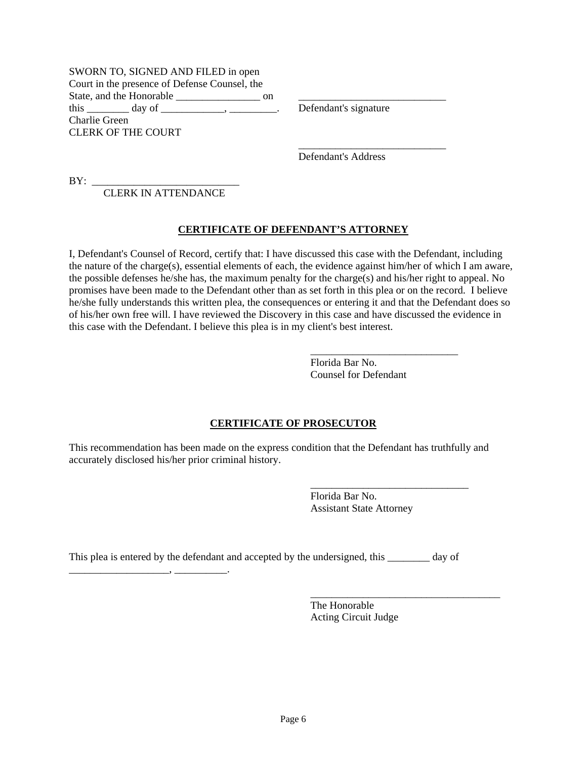SWORN TO, SIGNED AND FILED in open Court in the presence of Defense Counsel, the State, and the Honorable \_\_\_\_\_\_\_\_\_\_\_\_\_\_\_\_ on \_\_\_\_\_\_\_\_\_\_\_\_\_\_\_\_\_\_\_\_\_\_\_\_\_\_\_\_ this day of the contract of the contract of the contract of the contract of the contract of the contract of the contract of the contract of the contract of the contract of the contract of the contract of the contract of th Charlie Green CLERK OF THE COURT

Defendant's Address

\_\_\_\_\_\_\_\_\_\_\_\_\_\_\_\_\_\_\_\_\_\_\_\_\_\_\_\_

 $BY:$ 

CLERK IN ATTENDANCE

# **CERTIFICATE OF DEFENDANT'S ATTORNEY**

I, Defendant's Counsel of Record, certify that: I have discussed this case with the Defendant, including the nature of the charge(s), essential elements of each, the evidence against him/her of which I am aware, the possible defenses he/she has, the maximum penalty for the charge(s) and his/her right to appeal. No promises have been made to the Defendant other than as set forth in this plea or on the record. I believe he/she fully understands this written plea, the consequences or entering it and that the Defendant does so of his/her own free will. I have reviewed the Discovery in this case and have discussed the evidence in this case with the Defendant. I believe this plea is in my client's best interest.

> Florida Bar No. Counsel for Defendant

### **CERTIFICATE OF PROSECUTOR**

This recommendation has been made on the express condition that the Defendant has truthfully and accurately disclosed his/her prior criminal history.

 $\overline{\phantom{a}}$  , and the contract of the contract of the contract of the contract of the contract of the contract of the contract of the contract of the contract of the contract of the contract of the contract of the contrac

 $\overline{\phantom{a}}$  , and the contract of the contract of the contract of the contract of the contract of the contract of the contract of the contract of the contract of the contract of the contract of the contract of the contrac

Florida Bar No. Assistant State Attorney

This plea is entered by the defendant and accepted by the undersigned, this \_\_\_\_\_\_\_ day of

 $\overline{\phantom{a}}$  , and the contract of the contract of the contract of the contract of the contract of the contract of the contract of the contract of the contract of the contract of the contract of the contract of the contrac

\_\_\_\_\_\_\_\_\_\_\_\_\_\_\_\_\_\_\_, \_\_\_\_\_\_\_\_\_\_.

The Honorable Acting Circuit Judge